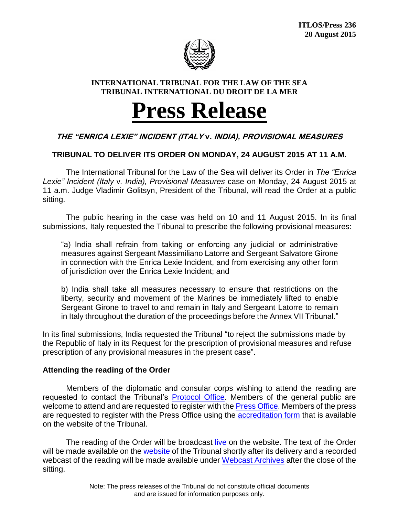

#### **INTERNATIONAL TRIBUNAL FOR THE LAW OF THE SEA TRIBUNAL INTERNATIONAL DU DROIT DE LA MER**

# **Press Release**

## **THE "ENRICA LEXIE" INCIDENT (ITALY v. INDIA), PROVISIONAL MEASURES**

## **TRIBUNAL TO DELIVER ITS ORDER ON MONDAY, 24 AUGUST 2015 AT 11 A.M.**

The International Tribunal for the Law of the Sea will deliver its Order in *The "Enrica Lexie" Incident (Italy* v*. India), Provisional Measures* case on Monday, 24 August 2015 at 11 a.m. Judge Vladimir Golitsyn, President of the Tribunal, will read the Order at a public sitting.

The public hearing in the case was held on 10 and 11 August 2015. In its final submissions, Italy requested the Tribunal to prescribe the following provisional measures:

"a) India shall refrain from taking or enforcing any judicial or administrative measures against Sergeant Massimiliano Latorre and Sergeant Salvatore Girone in connection with the Enrica Lexie Incident, and from exercising any other form of jurisdiction over the Enrica Lexie Incident; and

b) India shall take all measures necessary to ensure that restrictions on the liberty, security and movement of the Marines be immediately lifted to enable Sergeant Girone to travel to and remain in Italy and Sergeant Latorre to remain in Italy throughout the duration of the proceedings before the Annex VII Tribunal."

In its final submissions, India requested the Tribunal "to reject the submissions made by the Republic of Italy in its Request for the prescription of provisional measures and refuse prescription of any provisional measures in the present case".

### **Attending the reading of the Order**

Members of the diplomatic and consular corps wishing to attend the reading are requested to contact the Tribunal's [Protocol Office.](mailto:vorbeck@itlos.org) Members of the general public are welcome to attend and are requested to register with th[e Press Office.](mailto:press@itlos.org) Members of the press are requested to register with the Press Office using the **accreditation form** that is available on the website of the Tribunal.

The reading of the Order will be broadcast [live](https://www.itlos.org/en/cases/webcam-live/) on the website. The text of the Order will be made available on the [website](http://www.itlos.org/cases/list-of-cases/case-no-24/) of the Tribunal shortly after its delivery and a recorded webcast of the reading will be made available under [Webcast Archives](http://www.itlos.org/affaires/webcast-archives-case-no-24/) after the close of the sitting.